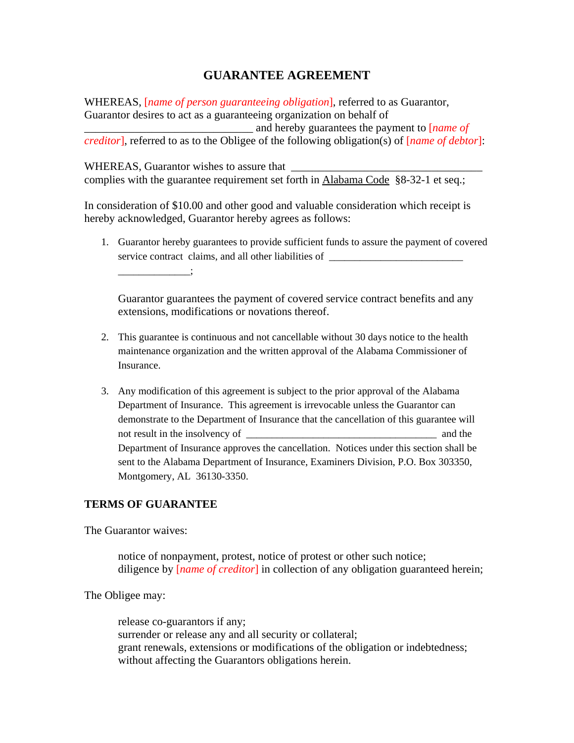## **GUARANTEE AGREEMENT**

WHEREAS, [*name of person guaranteeing obligation*], referred to as Guarantor, Guarantor desires to act as a guaranteeing organization on behalf of and hereby guarantees the payment to *[name of creditor*], referred to as to the Obligee of the following obligation(s) of [*name of debtor*]:

WHEREAS, Guarantor wishes to assure that complies with the guarantee requirement set forth in Alabama Code §8-32-1 et seq.;

In consideration of \$10.00 and other good and valuable consideration which receipt is hereby acknowledged, Guarantor hereby agrees as follows:

1. Guarantor hereby guarantees to provide sufficient funds to assure the payment of covered service contract claims, and all other liabilities of \_\_\_\_\_\_\_\_\_\_\_\_\_\_\_\_\_\_\_\_\_\_\_\_\_\_\_

Guarantor guarantees the payment of covered service contract benefits and any extensions, modifications or novations thereof.

- 2. This guarantee is continuous and not cancellable without 30 days notice to the health maintenance organization and the written approval of the Alabama Commissioner of Insurance.
- 3. Any modification of this agreement is subject to the prior approval of the Alabama Department of Insurance. This agreement is irrevocable unless the Guarantor can demonstrate to the Department of Insurance that the cancellation of this guarantee will not result in the insolvency of \_\_\_\_\_\_\_\_\_\_\_\_\_\_\_\_\_\_\_\_\_\_\_\_\_\_\_\_\_\_\_\_\_\_\_\_\_ and the Department of Insurance approves the cancellation. Notices under this section shall be sent to the Alabama Department of Insurance, Examiners Division, P.O. Box 303350, Montgomery, AL 36130-3350.

## **TERMS OF GUARANTEE**

 $\overline{\phantom{a}}$ 

The Guarantor waives:

notice of nonpayment, protest, notice of protest or other such notice; diligence by [*name of creditor*] in collection of any obligation guaranteed herein;

The Obligee may:

release co-guarantors if any; surrender or release any and all security or collateral; grant renewals, extensions or modifications of the obligation or indebtedness; without affecting the Guarantors obligations herein.